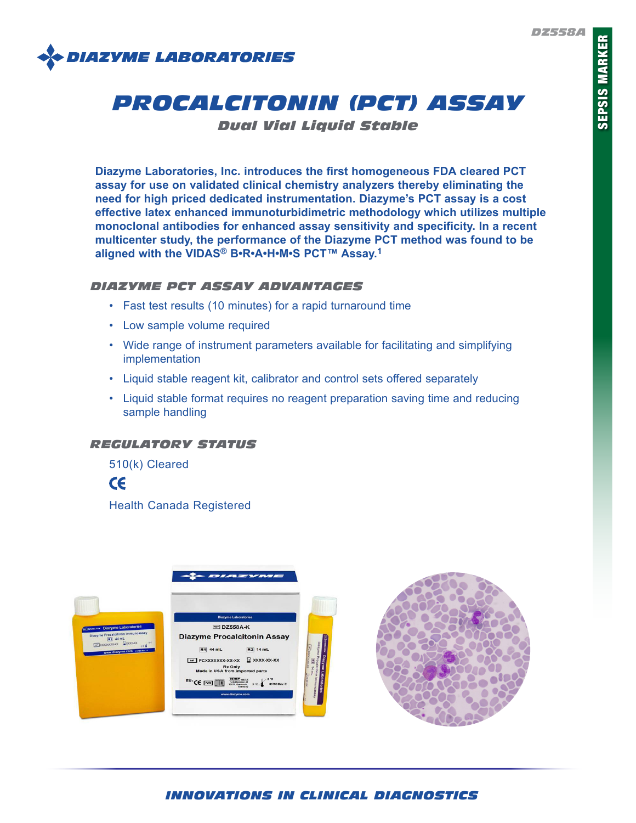

# *PROCALCITONIN (PCT) ASSAY*

*Dual Vial Liquid Stable*

**Diazyme Laboratories, Inc. introduces the first homogeneous FDA cleared PCT assay for use on validated clinical chemistry analyzers thereby eliminating the need for high priced dedicated instrumentation. Diazyme's PCT assay is a cost effective latex enhanced immunoturbidimetric methodology which utilizes multiple monoclonal antibodies for enhanced assay sensitivity and specificity. In a recent multicenter study, the performance of the Diazyme PCT method was found to be aligned with the VIDAS® B•R•A•H•M•S PCT™ Assay.1**

### *DIAZYME PCT ASSAY ADVANTAGES*

- Fast test results (10 minutes) for a rapid turnaround time
- Low sample volume required
- Wide range of instrument parameters available for facilitating and simplifying implementation
- Liquid stable reagent kit, calibrator and control sets offered separately
- Liquid stable format requires no reagent preparation saving time and reducing sample handling

# *REGULATORY STATUS*

510(k) Cleared



Health Canada Registered